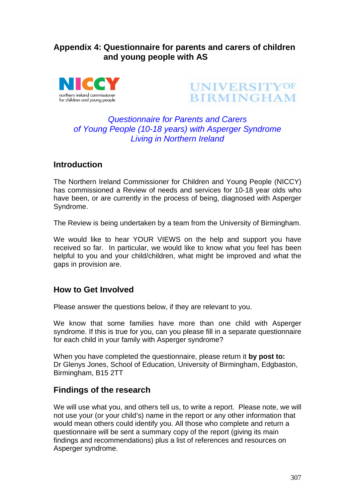# **Appendix 4: Questionnaire for parents and carers of children and young people with AS**





# *Questionnaire for Parents and Carers of Young People (10-18 years) with Asperger Syndrome Living in Northern Ireland*

# **Introduction**

The Northern Ireland Commissioner for Children and Young People (NICCY) has commissioned a Review of needs and services for 10-18 year olds who have been, or are currently in the process of being, diagnosed with Asperger Syndrome.

The Review is being undertaken by a team from the University of Birmingham.

We would like to hear YOUR VIEWS on the help and support you have received so far. In particular, we would like to know what you feel has been helpful to you and your child/children, what might be improved and what the gaps in provision are.

# **How to Get Involved**

Please answer the questions below, if they are relevant to you.

We know that some families have more than one child with Asperger syndrome. If this is true for you, can you please fill in a separate questionnaire for each child in your family with Asperger syndrome?

When you have completed the questionnaire, please return it **by post to:** Dr Glenys Jones, School of Education, University of Birmingham, Edgbaston, Birmingham, B15 2TT

# **Findings of the research**

We will use what you, and others tell us, to write a report. Please note, we will not use your (or your child's) name in the report or any other information that would mean others could identify you. All those who complete and return a questionnaire will be sent a summary copy of the report (giving its main findings and recommendations) plus a list of references and resources on Asperger syndrome.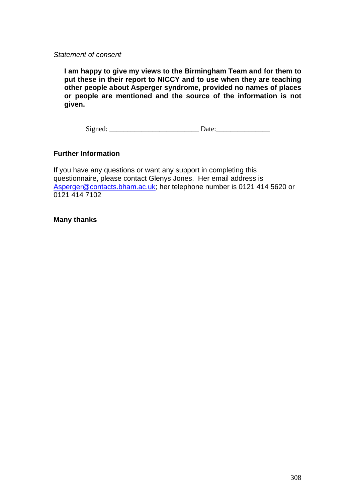*Statement of consent*

**I am happy to give my views to the Birmingham Team and for them to put these in their report to NICCY and to use when they are teaching other people about Asperger syndrome, provided no names of places or people are mentioned and the source of the information is not given.**

Signed: \_\_\_\_\_\_\_\_\_\_\_\_\_\_\_\_\_\_\_\_\_\_\_\_\_ Date:\_\_\_\_\_\_\_\_\_\_\_\_\_\_\_

### **Further Information**

If you have any questions or want any support in completing this questionnaire, please contact Glenys Jones. Her email address is Asperger@contacts.bham.ac.uk; her telephone number is 0121 414 5620 or 0121 414 7102

#### **Many thanks**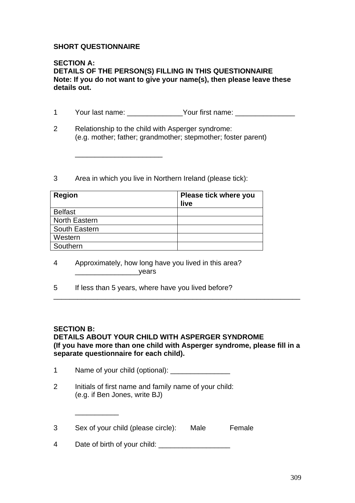### **SHORT QUESTIONNAIRE**

#### **SECTION A: DETAILS OF THE PERSON(S) FILLING IN THIS QUESTIONNAIRE Note: If you do not want to give your name(s), then please leave these details out.**

- 1 Your last name: \_\_\_\_\_\_\_\_\_\_\_\_\_\_Your first name: \_\_\_\_\_\_\_\_\_\_\_\_\_\_\_\_\_\_\_\_\_\_\_\_\_\_\_\_\_\_\_
- 2 Relationship to the child with Asperger syndrome: (e.g. mother; father; grandmother; stepmother; foster parent)
- 3 Area in which you live in Northern Ireland (please tick):

\_\_\_\_\_\_\_\_\_\_\_\_\_\_\_\_\_\_\_\_\_\_

| <b>Region</b>        | Please tick where you<br>live |
|----------------------|-------------------------------|
| <b>Belfast</b>       |                               |
| <b>North Eastern</b> |                               |
| South Eastern        |                               |
| Western              |                               |
| Southern             |                               |

- 4 Approximately, how long have you lived in this area? \_\_\_\_\_\_\_\_\_\_\_\_\_\_\_\_years
- 5 If less than 5 years, where have you lived before?

#### **SECTION B:**

\_\_\_\_\_\_\_\_\_\_\_

## **DETAILS ABOUT YOUR CHILD WITH ASPERGER SYNDROME (If you have more than one child with Asperger syndrome, please fill in a separate questionnaire for each child).**

\_\_\_\_\_\_\_\_\_\_\_\_\_\_\_\_\_\_\_\_\_\_\_\_\_\_\_\_\_\_\_\_\_\_\_\_\_\_\_\_\_\_\_\_\_\_\_\_\_\_\_\_\_\_\_\_\_\_\_\_\_\_

|  | Name of your child (optional): |
|--|--------------------------------|
|--|--------------------------------|

2 Initials of first name and family name of your child: (e.g. if Ben Jones, write BJ)

3 Sex of your child (please circle): Male Female

4 Date of birth of your child: \_\_\_\_\_\_\_\_\_\_\_\_\_\_\_\_\_\_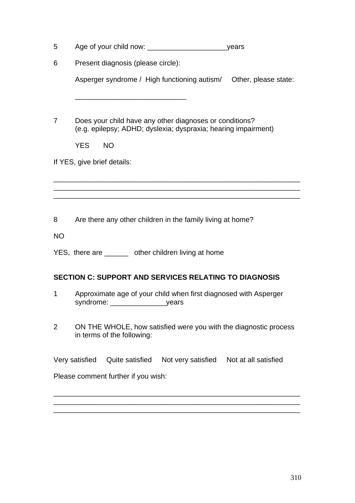| 5              | _years                                                                                                                    |
|----------------|---------------------------------------------------------------------------------------------------------------------------|
| 6              | Present diagnosis (please circle):                                                                                        |
|                | Asperger syndrome / High functioning autism/ Other, please state:                                                         |
|                |                                                                                                                           |
| 7              | Does your child have any other diagnoses or conditions?<br>(e.g. epilepsy; ADHD; dyslexia; dyspraxia; hearing impairment) |
|                | <b>YES</b><br><b>NO</b>                                                                                                   |
|                | If YES, give brief details:                                                                                               |
|                |                                                                                                                           |
|                |                                                                                                                           |
|                |                                                                                                                           |
| 8              | Are there any other children in the family living at home?                                                                |
| <b>NO</b>      |                                                                                                                           |
|                | YES, there are ______ other children living at home                                                                       |
|                | <b>SECTION C: SUPPORT AND SERVICES RELATING TO DIAGNOSIS</b>                                                              |
| 1              | Approximate age of your child when first diagnosed with Asperger<br>syndrome:<br>_years                                   |
| $\overline{2}$ | ON THE WHOLE, how satisfied were you with the diagnostic process<br>in terms of the following:                            |
|                | Quite satisfied<br>Not very satisfied    Not at all satisfied<br>Very satisfied                                           |
|                | Please comment further if you wish:                                                                                       |
|                |                                                                                                                           |
|                |                                                                                                                           |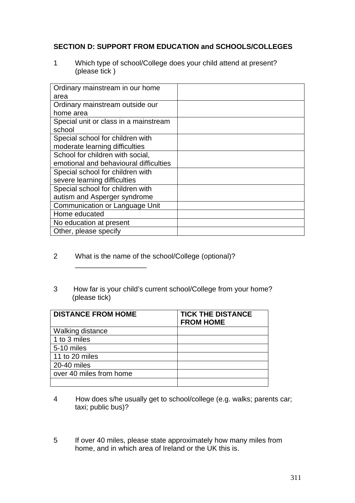## **SECTION D: SUPPORT FROM EDUCATION and SCHOOLS/COLLEGES**

1 Which type of school/College does your child attend at present? (please tick )

| Ordinary mainstream in our home        |  |
|----------------------------------------|--|
| area                                   |  |
| Ordinary mainstream outside our        |  |
| home area                              |  |
| Special unit or class in a mainstream  |  |
| school                                 |  |
| Special school for children with       |  |
| moderate learning difficulties         |  |
| School for children with social,       |  |
| emotional and behavioural difficulties |  |
| Special school for children with       |  |
| severe learning difficulties           |  |
| Special school for children with       |  |
| autism and Asperger syndrome           |  |
| Communication or Language Unit         |  |
| Home educated                          |  |
| No education at present                |  |
| Other, please specify                  |  |

2 What is the name of the school/College (optional)?

\_\_\_\_\_\_\_\_\_\_\_\_\_\_\_\_\_\_

3 How far is your child's current school/College from your home? (please tick)

| <b>DISTANCE FROM HOME</b> | <b>TICK THE DISTANCE</b><br><b>FROM HOME</b> |
|---------------------------|----------------------------------------------|
| <b>Walking distance</b>   |                                              |
| 1 to 3 miles              |                                              |
| 5-10 miles                |                                              |
| 11 to 20 miles            |                                              |
| 20-40 miles               |                                              |
| over 40 miles from home   |                                              |
|                           |                                              |

- 4 How does s/he usually get to school/college (e.g. walks; parents car; taxi; public bus)?
- 5 If over 40 miles, please state approximately how many miles from home, and in which area of Ireland or the UK this is.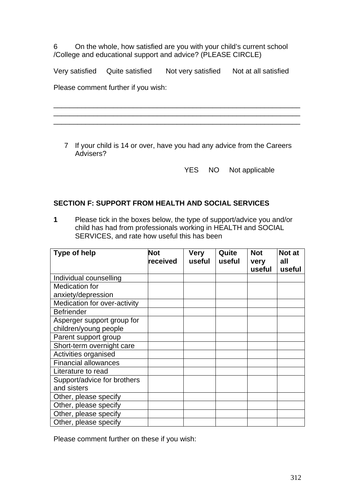6 On the whole, how satisfied are you with your child's current school /College and educational support and advice? (PLEASE CIRCLE)

Very satisfied Quite satisfied Not very satisfied Not at all satisfied

Please comment further if you wish:

7 If your child is 14 or over, have you had any advice from the Careers Advisers?

\_\_\_\_\_\_\_\_\_\_\_\_\_\_\_\_\_\_\_\_\_\_\_\_\_\_\_\_\_\_\_\_\_\_\_\_\_\_\_\_\_\_\_\_\_\_\_\_\_\_\_\_\_\_\_\_\_\_\_\_\_\_ \_\_\_\_\_\_\_\_\_\_\_\_\_\_\_\_\_\_\_\_\_\_\_\_\_\_\_\_\_\_\_\_\_\_\_\_\_\_\_\_\_\_\_\_\_\_\_\_\_\_\_\_\_\_\_\_\_\_\_\_\_\_ \_\_\_\_\_\_\_\_\_\_\_\_\_\_\_\_\_\_\_\_\_\_\_\_\_\_\_\_\_\_\_\_\_\_\_\_\_\_\_\_\_\_\_\_\_\_\_\_\_\_\_\_\_\_\_\_\_\_\_\_\_\_

YES NO Not applicable

### **SECTION F: SUPPORT FROM HEALTH AND SOCIAL SERVICES**

**1** Please tick in the boxes below, the type of support/advice you and/or child has had from professionals working in HEALTH and SOCIAL SERVICES, and rate how useful this has been

| <b>Type of help</b>          | <b>Not</b> | Very   | Quite  | <b>Not</b> | Not at |
|------------------------------|------------|--------|--------|------------|--------|
|                              | received   | useful | useful | very       | all    |
|                              |            |        |        | useful     | useful |
| Individual counselling       |            |        |        |            |        |
| <b>Medication for</b>        |            |        |        |            |        |
| anxiety/depression           |            |        |        |            |        |
| Medication for over-activity |            |        |        |            |        |
| <b>Befriender</b>            |            |        |        |            |        |
| Asperger support group for   |            |        |        |            |        |
| children/young people        |            |        |        |            |        |
| Parent support group         |            |        |        |            |        |
| Short-term overnight care    |            |        |        |            |        |
| Activities organised         |            |        |        |            |        |
| <b>Financial allowances</b>  |            |        |        |            |        |
| Literature to read           |            |        |        |            |        |
| Support/advice for brothers  |            |        |        |            |        |
| and sisters                  |            |        |        |            |        |
| Other, please specify        |            |        |        |            |        |
| Other, please specify        |            |        |        |            |        |
| Other, please specify        |            |        |        |            |        |
| Other, please specify        |            |        |        |            |        |

Please comment further on these if you wish: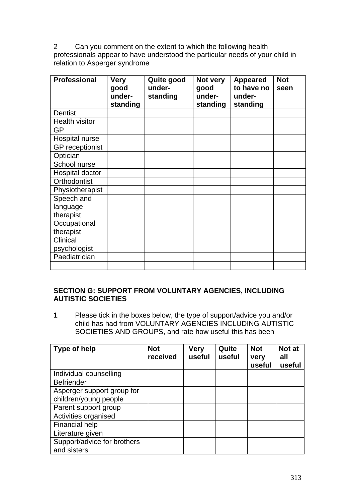2 Can you comment on the extent to which the following health professionals appear to have understood the particular needs of your child in relation to Asperger syndrome

| <b>Professional</b>    | <b>Very</b><br>good | Quite good<br>under- | Not very<br>good | <b>Appeared</b><br>to have no | <b>Not</b><br>seen |
|------------------------|---------------------|----------------------|------------------|-------------------------------|--------------------|
|                        | under-              | standing             | under-           | under-                        |                    |
|                        | standing            |                      | standing         | standing                      |                    |
| <b>Dentist</b>         |                     |                      |                  |                               |                    |
| <b>Health visitor</b>  |                     |                      |                  |                               |                    |
| <b>GP</b>              |                     |                      |                  |                               |                    |
| Hospital nurse         |                     |                      |                  |                               |                    |
| <b>GP</b> receptionist |                     |                      |                  |                               |                    |
| Optician               |                     |                      |                  |                               |                    |
| School nurse           |                     |                      |                  |                               |                    |
| Hospital doctor        |                     |                      |                  |                               |                    |
| Orthodontist           |                     |                      |                  |                               |                    |
| Physiotherapist        |                     |                      |                  |                               |                    |
| Speech and             |                     |                      |                  |                               |                    |
| language               |                     |                      |                  |                               |                    |
| therapist              |                     |                      |                  |                               |                    |
| Occupational           |                     |                      |                  |                               |                    |
| therapist              |                     |                      |                  |                               |                    |
| <b>Clinical</b>        |                     |                      |                  |                               |                    |
| psychologist           |                     |                      |                  |                               |                    |
| Paediatrician          |                     |                      |                  |                               |                    |
|                        |                     |                      |                  |                               |                    |

### **SECTION G: SUPPORT FROM VOLUNTARY AGENCIES, INCLUDING AUTISTIC SOCIETIES**

**1** Please tick in the boxes below, the type of support/advice you and/or child has had from VOLUNTARY AGENCIES INCLUDING AUTISTIC SOCIETIES AND GROUPS, and rate how useful this has been

| Type of help                               | <b>Not</b><br>received | <b>Very</b><br>useful | Quite<br>useful | <b>Not</b><br>very<br>useful | Not at<br>all<br>useful |
|--------------------------------------------|------------------------|-----------------------|-----------------|------------------------------|-------------------------|
| Individual counselling                     |                        |                       |                 |                              |                         |
| <b>Befriender</b>                          |                        |                       |                 |                              |                         |
| Asperger support group for                 |                        |                       |                 |                              |                         |
| children/young people                      |                        |                       |                 |                              |                         |
| Parent support group                       |                        |                       |                 |                              |                         |
| Activities organised                       |                        |                       |                 |                              |                         |
| <b>Financial help</b>                      |                        |                       |                 |                              |                         |
| Literature given                           |                        |                       |                 |                              |                         |
| Support/advice for brothers<br>and sisters |                        |                       |                 |                              |                         |